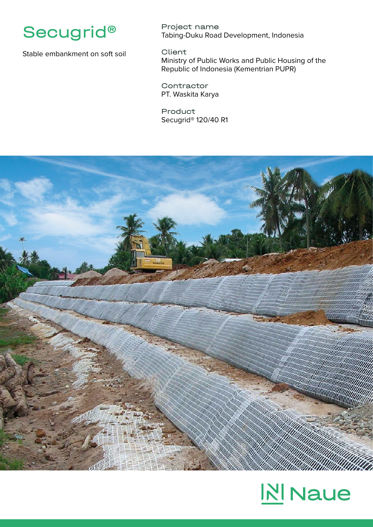

Stable embankment on soft soil

Project name Tabing-Duku Road Development, Indonesia

Client Ministry of Public Works and Public Housing of the Republic of Indonesia (Kementrian PUPR)

**Contractor** PT. Waskita Karya

Product Secugrid® 120/40 R1